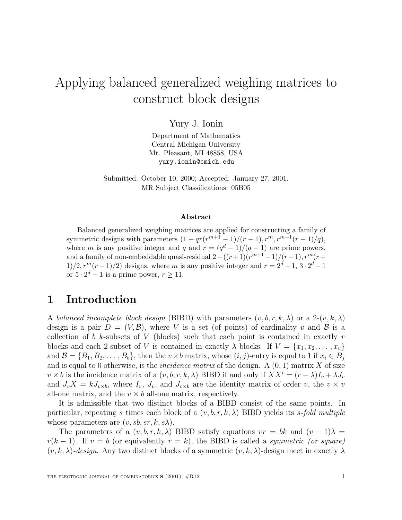# Applying balanced generalized weighing matrices to construct block designs

Yury J. Ionin

Department of Mathematics Central Michigan University Mt. Pleasant, MI 48858, USA yury.ionin@cmich.edu

Submitted: October 10, 2000; Accepted: January 27, 2001. MR Subject Classifications: 05B05

#### **Abstract**

Balanced generalized weighing matrices are applied for constructing a family of symmetric designs with parameters  $(1 + qr(r^{m+1} - 1)/(r - 1), r^m, r^{m-1}(r - 1)/q)$ , where m is any positive integer and q and  $r = (q<sup>d</sup> - 1)/(q - 1)$  are prime powers, and a family of non-embeddable quasi-residual  $2-((r+1)(r^{m+1}-1)/(r-1), r^m(r+1))$  $1/2, r^m(r-1)/2$ ) designs, where m is any positive integer and  $r = 2^d - 1$ ,  $3 \cdot 2^d - 1$ or  $5 \cdot 2^d - 1$  is a prime power,  $r \ge 11$ .

#### **1 Introduction**

A balanced incomplete block design (BIBD) with parameters  $(v, b, r, k, \lambda)$  or a 2- $(v, k, \lambda)$ design is a pair  $D = (V, \mathcal{B})$ , where V is a set (of points) of cardinality v and  $\mathcal{B}$  is a collection of b k-subsets of V (blocks) such that each point is contained in exactly  $r$ blocks and each 2-subset of V is contained in exactly  $\lambda$  blocks. If  $V = \{x_1, x_2, \ldots, x_v\}$ and  $\mathcal{B} = \{B_1, B_2, \ldots, B_b\}$ , then the  $v \times b$  matrix, whose  $(i, j)$ -entry is equal to 1 if  $x_i \in B_j$ and is equal to 0 otherwise, is the *incidence matrix* of the design. A  $(0, 1)$  matrix X of size  $v \times b$  is the incidence matrix of a  $(v, b, r, k, \lambda)$  BIBD if and only if  $XX^t = (r - \lambda)I_v + \lambda J_v$ and  $J_vX = kJ_{v\times b}$ , where  $I_v$ ,  $J_v$ , and  $J_{v\times b}$  are the identity matrix of order v, the  $v \times v$ all-one matrix, and the  $v \times b$  all-one matrix, respectively.

It is admissible that two distinct blocks of a BIBD consist of the same points. In particular, repeating s times each block of a  $(v, b, r, k, \lambda)$  BIBD yields its s-fold multiple whose parameters are  $(v, sb, sr, k, s\lambda)$ .

The parameters of a  $(v, b, r, k, \lambda)$  BIBD satisfy equations  $vr = bk$  and  $(v - 1)\lambda =$  $r(k-1)$ . If  $v = b$  (or equivalently  $r = k$ ), the BIBD is called a *symmetric (or square)*  $(v, k, \lambda)$ -design. Any two distinct blocks of a symmetric  $(v, k, \lambda)$ -design meet in exactly  $\lambda$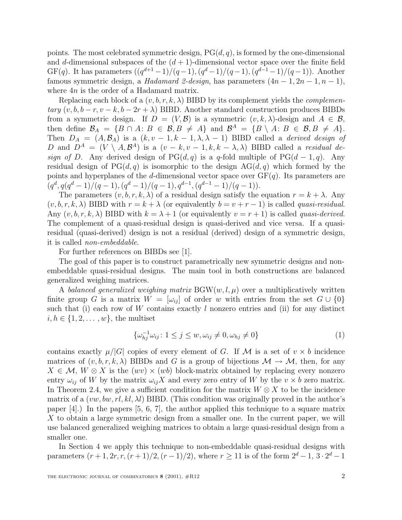points. The most celebrated symmetric design,  $PG(d, q)$ , is formed by the one-dimensional and d-dimensional subspaces of the  $(d + 1)$ -dimensional vector space over the finite field GF(q). It has parameters  $((q^{d+1}-1)/(q-1),(q^d-1)/(q-1),(q^{d-1}-1)/(q-1))$ . Another famous symmetric design, a Hadamard 2-design, has parameters  $(4n - 1, 2n - 1, n - 1)$ , where  $4n$  is the order of a Hadamard matrix.

Replacing each block of a  $(v, b, r, k, \lambda)$  BIBD by its complement yields the *complemen* $tary (v, b, b-r, v-k, b-2r+\lambda)$  BIBD. Another standard construction produces BIBDs from a symmetric design. If  $D = (V, \mathcal{B})$  is a symmetric  $(v, k, \lambda)$ -design and  $A \in \mathcal{B}$ , then define  $\mathcal{B}_A = \{B \cap A : B \in \mathcal{B}, B \neq A\}$  and  $\mathcal{B}^A = \{B \setminus A : B \in \mathcal{B}, B \neq A\}.$ Then  $D_A = (A, \mathcal{B}_A)$  is a  $(k, v - 1, k - 1, \lambda, \lambda - 1)$  BIBD called a *derived design of* D and  $D^A = (V \setminus A, \mathcal{B}^A)$  is a  $(v - k, v - 1, k, k - \lambda, \lambda)$  BIBD called a residual design of D. Any derived design of PG(d, q) is a q-fold multiple of PG(d – 1, q). Any residual design of  $PG(d, q)$  is isomorphic to the design  $AG(d, q)$  which formed by the points and hyperplanes of the d-dimensional vector space over  $GF(q)$ . Its parameters are  $(q^d, q(q^d-1)/(q-1), (q^d-1)/(q-1), q^{d-1}, (q^{d-1}-1)/(q-1)).$ 

The parameters  $(v, b, r, k, \lambda)$  of a residual design satisfy the equation  $r = k + \lambda$ . Any  $(v, b, r, k, \lambda)$  BIBD with  $r = k + \lambda$  (or equivalently  $b = v + r - 1$ ) is called *quasi-residual*. Any  $(v, b, r, k, \lambda)$  BIBD with  $k = \lambda + 1$  (or equivalently  $v = r + 1$ ) is called *quasi-derived.* The complement of a quasi-residual design is quasi-derived and vice versa. If a quasiresidual (quasi-derived) design is not a residual (derived) design of a symmetric design, it is called non-embeddable.

For further references on BIBDs see [1].

The goal of this paper is to construct parametrically new symmetric designs and nonembeddable quasi-residual designs. The main tool in both constructions are balanced generalized weighing matrices.

A balanced generalized weighing matrix  $BGW(w, l, \mu)$  over a multiplicatively written finite group G is a matrix  $W = [\omega_{ij}]$  of order w with entries from the set  $G \cup \{0\}$ such that (i) each row of W contains exactly  $l$  nonzero entries and (ii) for any distinct  $i, h \in \{1, 2, \ldots, w\}$ , the multiset

$$
\{\omega_{hj}^{-1}\omega_{ij}: 1 \le j \le w, \omega_{ij} \ne 0, \omega_{hj} \ne 0\}
$$
\n
$$
(1)
$$

contains exactly  $\mu/|G|$  copies of every element of G. If M is a set of  $v \times b$  incidence matrices of  $(v, b, r, k, \lambda)$  BIBDs and G is a group of bijections  $\mathcal{M} \to \mathcal{M}$ , then, for any  $X \in \mathcal{M}, W \otimes X$  is the  $(wv) \times (wb)$  block-matrix obtained by replacing every nonzero entry  $\omega_{ij}$  of W by the matrix  $\omega_{ij}X$  and every zero entry of W by the  $v \times b$  zero matrix. In Theorem 2.4, we give a sufficient condition for the matrix  $W \otimes X$  to be the incidence matrix of a  $(vw, bw, rl, kl, \lambda l)$  BIBD. (This condition was originally proved in the author's paper [4].) In the papers [5, 6, 7], the author applied this technique to a square matrix X to obtain a large symmetric design from a smaller one. In the current paper, we will use balanced generalized weighing matrices to obtain a large quasi-residual design from a smaller one.

In Section 4 we apply this technique to non-embeddable quasi-residual designs with parameters  $(r+1, 2r, r, (r+1)/2, (r-1)/2)$ , where  $r > 11$  is of the form  $2^d - 1, 3 \cdot 2^d - 1$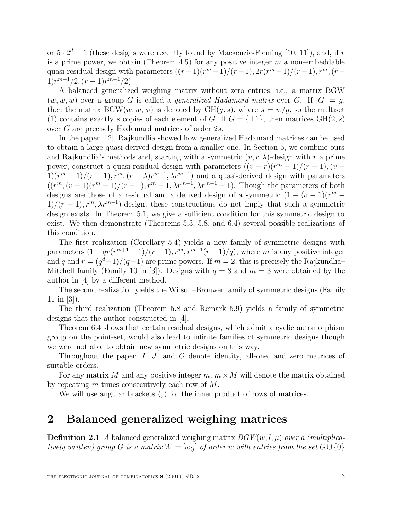or  $5 \cdot 2^d - 1$  (these designs were recently found by Mackenzie-Fleming [10, 11]), and, if r is a prime power, we obtain (Theorem 4.5) for any positive integer  $m$  a non-embeddable quasi-residual design with parameters  $((r+1)(r^m-1)/(r-1), 2r(r^m-1)/(r-1), r^m, (r+1)$  $1)r^{m-1}/2$ ,  $(r-1)r^{m-1}/2$ ).

A balanced generalized weighing matrix without zero entries, i.e., a matrix BGW  $(w,w,w)$  over a group G is called a *generalized Hadamard matrix* over G. If  $|G| = q$ , then the matrix  $BGW(w, w, w)$  is denoted by  $GH(g, s)$ , where  $s = w/g$ , so the multiset (1) contains exactly s copies of each element of G. If  $G = {\pm 1}$ , then matrices GH(2, s) over G are precisely Hadamard matrices of order 2s.

In the paper [12], Rajkundlia showed how generalized Hadamard matrices can be used to obtain a large quasi-derived design from a smaller one. In Section 5, we combine ours and Rajkundlia's methods and, starting with a symmetric  $(v, r, \lambda)$ -design with r a prime power, construct a quasi-residual design with parameters  $((v - r)(r^m - 1)/(r - 1), (v 1(r^m-1)/(r-1), r^m, (r-\lambda)r^{m-1}, \lambda r^{m-1}$  and a quasi-derived design with parameters  $((r^m,(v-1)(r^m-1)/(r-1),r^m-1,\lambda r^{m-1},\lambda r^{m-1}-1)$ . Though the parameters of both designs are those of a residual and a derived design of a symmetric  $(1 + (v - 1)(r^m 1/(r-1), r^m, \lambda r^{m-1}$ )-design, these constructions do not imply that such a symmetric design exists. In Theorem 5.1, we give a sufficient condition for this symmetric design to exist. We then demonstrate (Theorems 5.3, 5.8, and 6.4) several possible realizations of this condition.

The first realization (Corollary 5.4) yields a new family of symmetric designs with parameters  $(1+qr(r^{m+1}-1)/(r-1), r^m, r^{m-1}(r-1)/q)$ , where m is any positive integer and q and  $r = (q^d-1)/(q-1)$  are prime powers. If  $m = 2$ , this is precisely the Rajkundlia– Mitchell family (Family 10 in [3]). Designs with  $q = 8$  and  $m = 3$  were obtained by the author in [4] by a different method.

The second realization yields the Wilson–Brouwer family of symmetric designs (Family 11 in [3]).

The third realization (Theorem 5.8 and Remark 5.9) yields a family of symmetric designs that the author constructed in [4].

Theorem 6.4 shows that certain residual designs, which admit a cyclic automorphism group on the point-set, would also lead to infinite families of symmetric designs though we were not able to obtain new symmetric designs on this way.

Throughout the paper, I, J, and O denote identity, all-one, and zero matrices of suitable orders.

For any matrix M and any positive integer  $m, m \times M$  will denote the matrix obtained by repeating m times consecutively each row of M.

We will use angular brackets  $\langle , \rangle$  for the inner product of rows of matrices.

### **2 Balanced generalized weighing matrices**

**Definition 2.1** A balanced generalized weighing matrix  $BGW(w, l, \mu)$  over a (multiplicatively written) group G is a matrix  $W = [\omega_{ij}]$  of order w with entries from the set  $G \cup \{0\}$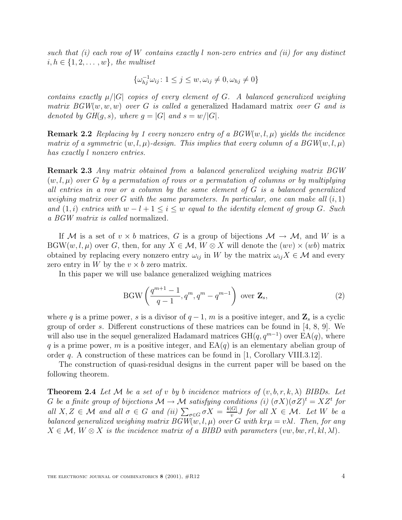such that (i) each row of W contains exactly l non-zero entries and (ii) for any distinct  $i, h \in \{1, 2, \ldots, w\}$ , the multiset

$$
\{\omega_{hj}^{-1}\omega_{ij}\colon 1\leq j\leq w, \omega_{ij}\neq 0, \omega_{hj}\neq 0\}
$$

contains exactly  $\mu/|G|$  copies of every element of G. A balanced generalized weighing matrix  $BGW(w, w, w)$  over G is called a generalized Hadamard matrix over G and is denoted by  $GH(q, s)$ , where  $q = |G|$  and  $s = w/|G|$ .

**Remark 2.2** Replacing by 1 every nonzero entry of a  $BGW(w, l, \mu)$  yields the incidence matrix of a symmetric  $(w, l, \mu)$ -design. This implies that every column of a  $BGW(w, l, \mu)$ has exactly l nonzero entries.

**Remark 2.3** Any matrix obtained from a balanced generalized weighing matrix BGW  $(w, l, \mu)$  over G by a permutation of rows or a permutation of columns or by multiplying all entries in a row or a column by the same element of G is a balanced generalized weighing matrix over G with the same parameters. In particular, one can make all  $(i, 1)$ and  $(1, i)$  entries with  $w - l + 1 \leq i \leq w$  equal to the identity element of group G. Such a BGW matrix is called normalized.

If M is a set of  $v \times b$  matrices, G is a group of bijections  $\mathcal{M} \to \mathcal{M}$ , and W is a BGW $(w, l, \mu)$  over G, then, for any  $X \in \mathcal{M}$ ,  $W \otimes X$  will denote the  $(wv) \times (wb)$  matrix obtained by replacing every nonzero entry  $\omega_{ij}$  in W by the matrix  $\omega_{ij}X \in \mathcal{M}$  and every zero entry in W by the  $v \times b$  zero matrix.

In this paper we will use balance generalized weighing matrices

$$
BGW\left(\frac{q^{m+1}-1}{q-1}, q^m, q^m - q^{m-1}\right) \text{ over } \mathbf{Z}_s,
$$
\n(2)

where q is a prime power, s is a divisor of  $q-1$ , m is a positive integer, and  $\mathbf{Z}_s$  is a cyclic group of order s. Different constructions of these matrices can be found in  $[4, 8, 9]$ . We will also use in the sequel generalized Hadamard matrices  $GH(q, q^{m-1})$  over  $EA(q)$ , where q is a prime power, m is a positive integer, and  $EA(q)$  is an elementary abelian group of order q. A construction of these matrices can be found in  $[1,$  Corollary VIII.3.12.

The construction of quasi-residual designs in the current paper will be based on the following theorem.

**Theorem 2.4** Let M be a set of v by b incidence matrices of  $(v, b, r, k, \lambda)$  BIBDs. Let G be a finite group of bijections  $\mathcal{M} \to \mathcal{M}$  satisfying conditions (i)  $(\sigma X)(\sigma Z)^t = XZ^t$  for all  $X, Z \in \mathcal{M}$  and all  $\sigma \in G$  and (ii)  $\sum_{\sigma \in G} \sigma X = \frac{k|G|}{v} J$  for all  $X \in \mathcal{M}$ . Let W be a balanced generalized weighing matrix  $BGW(w, l, \mu)$  over G with  $kr\mu = v\lambda l$ . Then, for any  $X \in \mathcal{M}, W \otimes X$  is the incidence matrix of a BIBD with parameters (vw, bw, rl, kl,  $\lambda l$ ).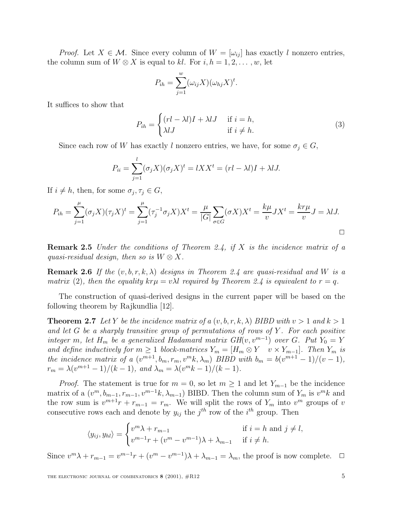*Proof.* Let  $X \in \mathcal{M}$ . Since every column of  $W = |\omega_{ij}|$  has exactly l nonzero entries, the column sum of  $W \otimes X$  is equal to kl. For  $i, h = 1, 2, \ldots, w$ , let

$$
P_{ih} = \sum_{j=1}^{w} (\omega_{ij} X)(\omega_{hj} X)^t.
$$

It suffices to show that

$$
P_{ih} = \begin{cases} (rl - \lambda l)I + \lambda lJ & \text{if } i = h, \\ \lambda lJ & \text{if } i \neq h. \end{cases}
$$
 (3)

Since each row of W has exactly l nonzero entries, we have, for some  $\sigma_j \in G,$ 

$$
P_{ii} = \sum_{j=1}^{l} (\sigma_j X)(\sigma_j X)^t = lXX^t = (rl - \lambda l)I + \lambda lJ.
$$

If  $i \neq h$ , then, for some  $\sigma_j, \tau_j \in G$ ,

$$
P_{ih} = \sum_{j=1}^{\mu} (\sigma_j X)(\tau_j X)^t = \sum_{j=1}^{\mu} (\tau_j^{-1} \sigma_j X) X^t = \frac{\mu}{|G|} \sum_{\sigma \in G} (\sigma X) X^t = \frac{k\mu}{v} J X^t = \frac{kr\mu}{v} J = \lambda I J.
$$

**Remark 2.5** Under the conditions of Theorem 2.4, if X is the incidence matrix of a quasi-residual design, then so is  $W \otimes X$ .

**Remark 2.6** If the  $(v, b, r, k, \lambda)$  designs in Theorem 2.4 are quasi-residual and W is a matrix (2), then the equality  $k r \mu = v \lambda l$  required by Theorem 2.4 is equivalent to  $r = q$ .

The construction of quasi-derived designs in the current paper will be based on the following theorem by Rajkundlia [12].

**Theorem 2.7** Let Y be the incidence matrix of a  $(v, b, r, k, \lambda)$  BIBD with  $v > 1$  and  $k > 1$ and let G be a sharply transitive group of permutations of rows of Y. For each positive integer m, let H<sub>m</sub> be a generalized Hadamard matrix  $GH(v, v^{m-1})$  over G. Put  $Y_0 = Y$ and define inductively for  $m \geq 1$  block-matrices  $Y_m = [H_m \otimes Y \quad v \times Y_{m-1}]$ . Then  $Y_m$  is the incidence matrix of a  $(v^{m+1}, b_m, r_m, v^m k, \lambda_m)$  BIBD with  $b_m = b(v^{m+1} - 1)/(v - 1)$ ,  $r_m = \lambda (v^{m+1} - 1)/(k - 1)$ , and  $\lambda_m = \lambda (v^m k - 1)/(k - 1)$ .

*Proof.* The statement is true for  $m = 0$ , so let  $m \ge 1$  and let  $Y_{m-1}$  be the incidence matrix of a  $(v^m, b_{m-1}, r_{m-1}, v^{m-1}k, \lambda_{m-1})$  BIBD. Then the column sum of  $Y_m$  is  $v^m k$  and the row sum is  $v^{m+1}r + r_{m-1} = r_m$ . We will split the rows of  $Y_m$  into  $v^m$  groups of v consecutive rows each and denote by  $y_{ij}$  the  $j^{th}$  row of the  $i^{th}$  group. Then

$$
\langle y_{ij}, y_{hl} \rangle = \begin{cases} v^m \lambda + r_{m-1} & \text{if } i = h \text{ and } j \neq l, \\ v^{m-1}r + (v^m - v^{m-1})\lambda + \lambda_{m-1} & \text{if } i \neq h. \end{cases}
$$

Since  $v^m \lambda + r_{m-1} = v^{m-1}r + (v^m - v^{m-1})\lambda + \lambda_{m-1} = \lambda_m$ , the proof is now complete.  $\Box$ 

THE ELECTRONIC JOURNAL OF COMBINATORICS **8** (2001),  $#R12$  5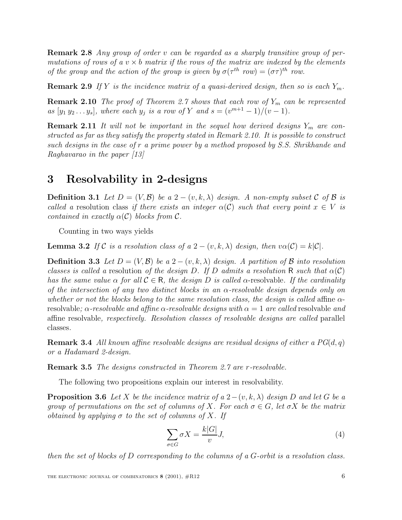**Remark 2.8** Any group of order v can be regarded as a sharply transitive group of permutations of rows of a  $v \times b$  matrix if the rows of the matrix are indexed by the elements of the group and the action of the group is given by  $\sigma(\tau^{th}$  row.

**Remark 2.9** If Y is the incidence matrix of a quasi-derived design, then so is each  $Y_m$ .

**Remark 2.10** The proof of Theorem 2.7 shows that each row of  $Y_m$  can be represented as  $[y_1 y_2 ... y_s]$ , where each  $y_j$  is a row of Y and  $s = (v^{m+1} - 1)/(v - 1)$ .

**Remark 2.11** It will not be important in the sequel how derived designs  $Y_m$  are constructed as far as they satisfy the property stated in Remark 2.10. It is possible to construct such designs in the case of r a prime power by a method proposed by S.S. Shrikhande and Raghavarao in the paper [13]

#### **3 Resolvability in 2-designs**

**Definition 3.1** Let  $D = (V, \mathcal{B})$  be a 2 –  $(v, k, \lambda)$  design. A non-empty subset C of B is called a resolution class if there exists an integer  $\alpha(C)$  such that every point  $x \in V$  is contained in exactly  $\alpha(C)$  blocks from C.

Counting in two ways yields

**Lemma 3.2** If C is a resolution class of a  $2 - (v, k, \lambda)$  design, then  $v\alpha(\mathcal{C}) = k|\mathcal{C}|$ .

**Definition 3.3** Let  $D = (V, \mathcal{B})$  be a 2 –  $(v, k, \lambda)$  design. A partition of  $\mathcal{B}$  into resolution classes is called a resolution of the design D. If D admits a resolution R such that  $\alpha(C)$ has the same value  $\alpha$  for all  $\mathcal{C} \in \mathbb{R}$ , the design D is called  $\alpha$ -resolvable. If the cardinality of the intersection of any two distinct blocks in an  $\alpha$ -resolvable design depends only on whether or not the blocks belong to the same resolution class, the design is called affine  $\alpha$ resolvable;  $\alpha$ -resolvable and affine  $\alpha$ -resolvable designs with  $\alpha = 1$  are called resolvable and affine resolvable, respectively. Resolution classes of resolvable designs are called parallel classes.

**Remark 3.4** All known affine resolvable designs are residual designs of either a  $PG(d, q)$ or a Hadamard 2-design.

**Remark 3.5** The designs constructed in Theorem 2.7 are r-resolvable.

The following two propositions explain our interest in resolvability.

**Proposition 3.6** Let X be the incidence matrix of a  $2-(v, k, \lambda)$  design D and let G be a group of permutations on the set of columns of X. For each  $\sigma \in G$ , let  $\sigma X$  be the matrix obtained by applying  $\sigma$  to the set of columns of X. If

$$
\sum_{\sigma \in G} \sigma X = \frac{k|G|}{v} J,\tag{4}
$$

then the set of blocks of D corresponding to the columns of a G-orbit is a resolution class.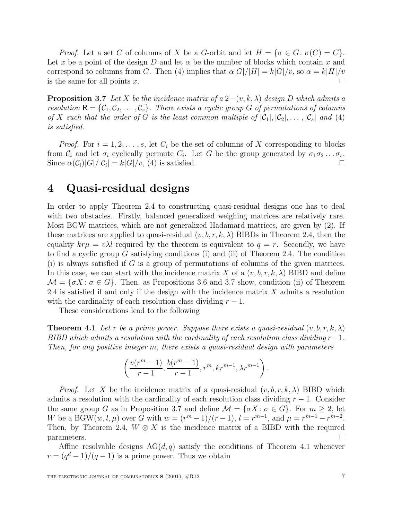*Proof.* Let a set C of columns of X be a G-orbit and let  $H = \{\sigma \in G : \sigma(C) = C\}.$ Let x be a point of the design D and let  $\alpha$  be the number of blocks which contain x and correspond to columns from C. Then (4) implies that  $\alpha |G|/|H| = k|G|/v$ , so  $\alpha = k|H|/v$ is the same for all points x.  $\Box$ 

**Proposition 3.7** Let X be the incidence matrix of a  $2-(v, k, \lambda)$  design D which admits a resolution  $R = \{C_1, C_2, \ldots, C_s\}$ . There exists a cyclic group G of permutations of columns of X such that the order of G is the least common multiple of  $|\mathcal{C}_1|, |\mathcal{C}_2|, \ldots, |\mathcal{C}_s|$  and (4) is satisfied.

*Proof.* For  $i = 1, 2, \ldots, s$ , let  $C_i$  be the set of columns of X corresponding to blocks from  $C_i$  and let  $\sigma_i$  cyclically permute  $C_i$ . Let G be the group generated by  $\sigma_1 \sigma_2 \ldots \sigma_s$ . Since  $\alpha(C_i)|G|/|C_i| = k|G|/v$ , (4) is satisfied.

### **4 Quasi-residual designs**

In order to apply Theorem 2.4 to constructing quasi-residual designs one has to deal with two obstacles. Firstly, balanced generalized weighing matrices are relatively rare. Most BGW matrices, which are not generalized Hadamard matrices, are given by (2). If these matrices are applied to quasi-residual  $(v, b, r, k, \lambda)$  BIBDs in Theorem 2.4, then the equality  $k r \mu = v \lambda l$  required by the theorem is equivalent to  $q = r$ . Secondly, we have to find a cyclic group G satisfying conditions (i) and (ii) of Theorem 2.4. The condition  $(i)$  is always satisfied if G is a group of permutations of columns of the given matrices. In this case, we can start with the incidence matrix X of a  $(v, b, r, k, \lambda)$  BIBD and define  $\mathcal{M} = \{\sigma X : \sigma \in G\}.$  Then, as Propositions 3.6 and 3.7 show, condition (ii) of Theorem 2.4 is satisfied if and only if the design with the incidence matrix  $X$  admits a resolution with the cardinality of each resolution class dividing  $r - 1$ .

These considerations lead to the following

**Theorem 4.1** Let r be a prime power. Suppose there exists a quasi-residual  $(v, b, r, k, \lambda)$ BIBD which admits a resolution with the cardinality of each resolution class dividing  $r-1$ . Then, for any positive integer m, there exists a quasi-residual design with parameters

$$
\left(\frac{v(r^m-1)}{r-1},\frac{b(r^m-1)}{r-1},r^m,kr^{m-1},\lambda r^{m-1}\right).
$$

*Proof.* Let X be the incidence matrix of a quasi-residual  $(v, b, r, k, \lambda)$  BIBD which admits a resolution with the cardinality of each resolution class dividing  $r - 1$ . Consider the same group G as in Proposition 3.7 and define  $\mathcal{M} = \{\sigma X : \sigma \in G\}$ . For  $m \geq 2$ , let W be a BGW $(w, l, \mu)$  over G with  $w = (r^m - 1)/(r - 1), l = r^{m-1}$ , and  $\mu = r^{m-1} - r^{m-2}$ . Then, by Theorem 2.4,  $W \otimes X$  is the incidence matrix of a BIBD with the required  $\Box$  parameters.

Affine resolvable designs  $AG(d, q)$  satisfy the conditions of Theorem 4.1 whenever  $r = (q<sup>d</sup> - 1)/(q - 1)$  is a prime power. Thus we obtain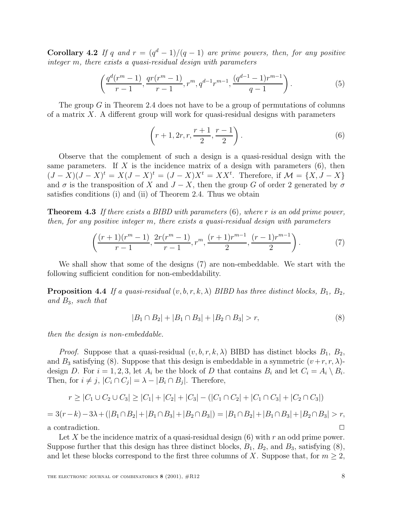**Corollary 4.2** If q and  $r = (q^d - 1)/(q - 1)$  are prime powers, then, for any positive integer m, there exists a quasi-residual design with parameters

$$
\left(\frac{q^d(r^m-1)}{r-1}, \frac{qr(r^m-1)}{r-1}, r^m, q^{d-1}r^{m-1}, \frac{(q^{d-1}-1)r^{m-1}}{q-1}\right).
$$
\n(5)

The group G in Theorem 2.4 does not have to be a group of permutations of columns of a matrix  $X$ . A different group will work for quasi-residual designs with parameters

$$
\left(r+1, 2r, r, \frac{r+1}{2}, \frac{r-1}{2}\right).
$$
\n(6)

Observe that the complement of such a design is a quasi-residual design with the same parameters. If X is the incidence matrix of a design with parameters  $(6)$ , then  $(J-X)(J-X)^t = X(J-X)^t = (J-X)X^t = XX^t$ . Therefore, if  $\mathcal{M} = \{X, J-X\}$ and  $\sigma$  is the transposition of X and  $J - X$ , then the group G of order 2 generated by  $\sigma$ satisfies conditions (i) and (ii) of Theorem 2.4. Thus we obtain

**Theorem 4.3** If there exists a BIBD with parameters (6), where r is an odd prime power, then, for any positive integer m, there exists a quasi-residual design with parameters

$$
\left(\frac{(r+1)(r^m-1)}{r-1}, \frac{2r(r^m-1)}{r-1}, r^m, \frac{(r+1)r^{m-1}}{2}, \frac{(r-1)r^{m-1}}{2}\right).
$$
 (7)

We shall show that some of the designs (7) are non-embeddable. We start with the following sufficient condition for non-embeddability.

**Proposition 4.4** If a quasi-residual  $(v, b, r, k, \lambda)$  BIBD has three distinct blocks,  $B_1, B_2,$ and B3, such that

$$
|B_1 \cap B_2| + |B_1 \cap B_3| + |B_2 \cap B_3| > r,
$$
\n<sup>(8)</sup>

then the design is non-embeddable.

*Proof.* Suppose that a quasi-residual  $(v, b, r, k, \lambda)$  BIBD has distinct blocks  $B_1, B_2,$ and  $B_3$  satisfying (8). Suppose that this design is embeddable in a symmetric  $(v+r, r, \lambda)$ design D. For  $i = 1, 2, 3$ , let  $A_i$  be the block of D that contains  $B_i$  and let  $C_i = A_i \setminus B_i$ . Then, for  $i \neq j$ ,  $|C_i \cap C_j| = \lambda - |B_i \cap B_j|$ . Therefore,

$$
r \geq |C_1 \cup C_2 \cup C_3| \geq |C_1| + |C_2| + |C_3| - (|C_1 \cap C_2| + |C_1 \cap C_3| + |C_2 \cap C_3|)
$$

$$
= 3(r-k) - 3\lambda + (|B_1 \cap B_2| + |B_1 \cap B_3| + |B_2 \cap B_3|) = |B_1 \cap B_2| + |B_1 \cap B_3| + |B_2 \cap B_3| > r,
$$
  
a contradiction.

Let X be the incidence matrix of a quasi-residual design  $(6)$  with r an odd prime power. Suppose further that this design has three distinct blocks,  $B_1$ ,  $B_2$ , and  $B_3$ , satisfying  $(8)$ , and let these blocks correspond to the first three columns of X. Suppose that, for  $m \geq 2$ ,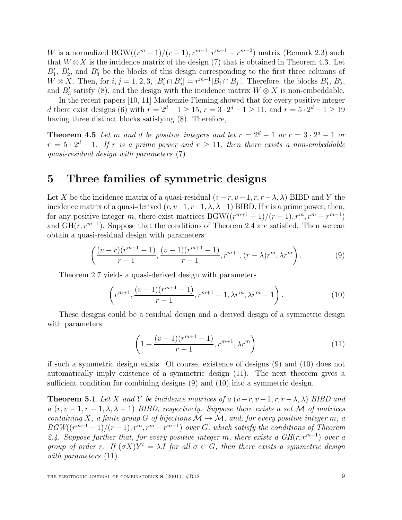W is a normalized BGW( $(r^m-1)/(r-1), r^{m-1}, r^{m-1}-r^{m-2}$ ) matrix (Remark 2.3) such that  $W \otimes X$  is the incidence matrix of the design (7) that is obtained in Theorem 4.3. Let  $B'_1$ ,  $B'_2$ , and  $B'_3$  be the blocks of this design corresponding to the first three columns of  $W \otimes X$ . Then, for  $i, j = 1, 2, 3, |B'_i \cap B'_j| = r^{m-1}|B_i \cap B_j|$ . Therefore, the blocks  $B'_1, B'_2$ , and  $B'_3$  satisfy (8), and the design with the incidence matrix  $W \otimes X$  is non-embeddable.

In the recent papers [10, 11] Mackenzie-Fleming showed that for every positive integer d there exist designs (6) with  $r = 2^d - 1 \ge 15$ ,  $r = 3 \cdot 2^d - 1 \ge 11$ , and  $r = 5 \cdot 2^d - 1 \ge 19$ having three distinct blocks satisfying (8). Therefore,

**Theorem 4.5** Let m and d be positive integers and let  $r = 2^d - 1$  or  $r = 3 \cdot 2^d - 1$  or  $r = 5 \cdot 2^d - 1$ . If r is a prime power and  $r \ge 11$ , then there exists a non-embeddable quasi-residual design with parameters (7).

### **5 Three families of symmetric designs**

Let X be the incidence matrix of a quasi-residual  $(v-r, v-1, r, r-\lambda, \lambda)$  BIBD and Y the incidence matrix of a quasi-derived  $(r, v-1, r-1, \lambda, \lambda-1)$  BIBD. If r is a prime power, then, for any positive integer m, there exist matrices  $BGW((r^{m+1}-1)/(r-1), r^m, r^m-r^{m-1})$ and  $GH(r, r^{m-1})$ . Suppose that the conditions of Theorem 2.4 are satisfied. Then we can obtain a quasi-residual design with parameters

$$
\left(\frac{(v-r)(r^{m+1}-1)}{r-1}, \frac{(v-1)(r^{m+1}-1)}{r-1}, r^{m+1}, (r-\lambda)r^m, \lambda r^m\right).
$$
 (9)

Theorem 2.7 yields a quasi-derived design with parameters

$$
\left(r^{m+1}, \frac{(v-1)(r^{m+1}-1)}{r-1}, r^{m+1}-1, \lambda r^m, \lambda r^m-1\right).
$$
 (10)

These designs could be a residual design and a derived design of a symmetric design with parameters

$$
\left(1 + \frac{(v-1)(r^{m+1}-1)}{r-1}, r^{m+1}, \lambda r^m\right) \tag{11}
$$

if such a symmetric design exists. Of course, existence of designs (9) and (10) does not automatically imply existence of a symmetric design (11). The next theorem gives a sufficient condition for combining designs (9) and (10) into a symmetric design.

**Theorem 5.1** Let X and Y be incidence matrices of a  $(v-r, v-1, r, r-\lambda, \lambda)$  BIBD and a  $(r, v - 1, r - 1, \lambda, \lambda - 1)$  BIBD, respectively. Suppose there exists a set M of matrices containing X, a finite group G of bijections  $\mathcal{M} \to \mathcal{M}$ , and, for every positive integer m, a  $BGW((r^{m+1}-1)/(r-1), r^m, r^m-r^{m-1})$  over G, which satisfy the conditions of Theorem 2.4. Suppose further that, for every positive integer m, there exists a  $GH(r, r^{m-1})$  over a group of order r. If  $(\sigma X)Y^t = \lambda J$  for all  $\sigma \in G$ , then there exists a symmetric design with parameters  $(11)$ .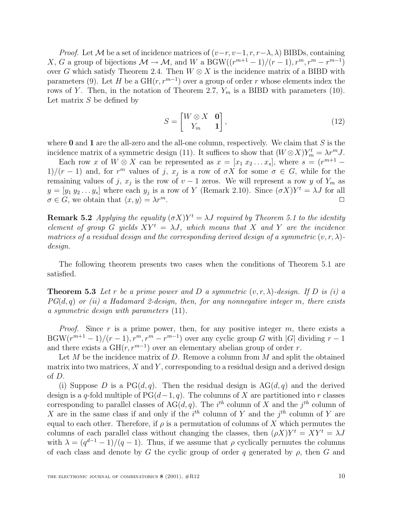*Proof.* Let M be a set of incidence matrices of  $(v-r, v-1, r, r-\lambda, \lambda)$  BIBDs, containing X, G a group of bijections  $\mathcal{M} \to \mathcal{M}$ , and W a BGW( $(r^{m+1}-1)/(r-1)$ ,  $r^m$ ,  $r^m-r^{m-1}$ ) over G which satisfy Theorem 2.4. Then  $W \otimes X$  is the incidence matrix of a BIBD with parameters (9). Let H be a  $GH(r, r^{m-1})$  over a group of order r whose elements index the rows of Y. Then, in the notation of Theorem 2.7,  $Y_m$  is a BIBD with parameters (10). Let matrix  $S$  be defined by

$$
S = \begin{bmatrix} W \otimes X & \mathbf{0} \\ Y_m & \mathbf{1} \end{bmatrix},\tag{12}
$$

where **0** and **1** are the all-zero and the all-one column, respectively. We claim that S is the incidence matrix of a symmetric design (11). It suffices to show that  $(W \otimes X)Y_m^t = \lambda r^m J$ .

Each row x of  $W \otimes X$  can be represented as  $x = [x_1 x_2 ... x_s]$ , where  $s = (r^{m+1} -$ 1)/(r − 1) and, for r<sup>m</sup> values of j,  $x_j$  is a row of  $\sigma X$  for some  $\sigma \in G$ , while for the remaining values of j,  $x_j$  is the row of  $v - 1$  zeros. We will represent a row y of  $Y_m$  as  $y = [y_1 y_2 ... y_s]$  where each  $y_j$  is a row of Y (Remark 2.10). Since  $(\sigma X)Y^t = \lambda J$  for all  $\sigma \in G$ , we obtain that  $\langle x, y \rangle = \lambda r^m$ .

**Remark 5.2** Applying the equality  $(\sigma X)Y^t = \lambda J$  required by Theorem 5.1 to the identity element of group G yields  $XY^t = \lambda J$ , which means that X and Y are the incidence matrices of a residual design and the corresponding derived design of a symmetric  $(v, r, \lambda)$ design.

The following theorem presents two cases when the conditions of Theorem 5.1 are satisfied.

**Theorem 5.3** Let r be a prime power and D a symmetric  $(v, r, \lambda)$ -design. If D is (i) a  $PG(d, q)$  or (ii) a Hadamard 2-design, then, for any nonnegative integer m, there exists a symmetric design with parameters (11).

*Proof.* Since r is a prime power, then, for any positive integer m, there exists a BGW $(r^{m+1}-1)/(r-1), r^m, r^m-r^{m-1}$  over any cyclic group G with |G| dividing  $r-1$ and there exists a  $GH(r, r^{m-1})$  over an elementary abelian group of order r.

Let M be the incidence matrix of D. Remove a column from  $M$  and split the obtained matrix into two matrices,  $X$  and  $Y$ , corresponding to a residual design and a derived design of D.

(i) Suppose D is a  $PG(d, q)$ . Then the residual design is  $AG(d, q)$  and the derived design is a q-fold multiple of  $PG(d-1, q)$ . The columns of X are partitioned into r classes corresponding to parallel classes of  $AG(d, q)$ . The i<sup>th</sup> column of X and the j<sup>th</sup> column of X are in the same class if and only if the  $i<sup>th</sup>$  column of Y and the  $j<sup>th</sup>$  column of Y are equal to each other. Therefore, if  $\rho$  is a permutation of columns of X which permutes the columns of each parallel class without changing the classes, then  $(\rho X)Y^t = XY^t = \lambda J$ with  $\lambda = (q^{d-1} - 1)/(q - 1)$ . Thus, if we assume that  $\rho$  cyclically permutes the columns of each class and denote by G the cyclic group of order q generated by  $\rho$ , then G and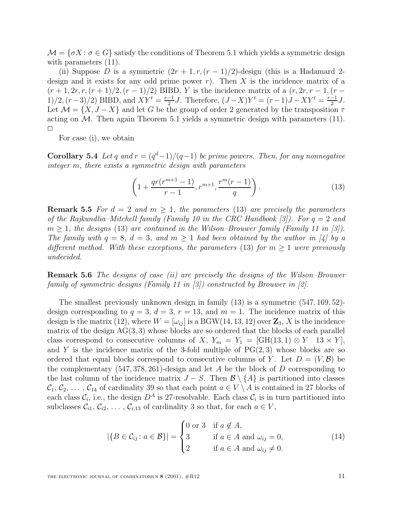$\mathcal{M} = \{\sigma X : \sigma \in G\}$  satisfy the conditions of Theorem 5.1 which yields a symmetric design with parameters  $(11)$ .

(ii) Suppose D is a symmetric  $(2r + 1, r, (r - 1)/2)$ -design (this is a Hadamard 2design and it exists for any odd prime power r). Then X is the incidence matrix of a  $(r + 1, 2r, r, (r + 1)/2, (r - 1)/2)$  BIBD, Y is the incidence matrix of a  $(r, 2r, r - 1, (r - 1)/2)$ 1)/2,  $(r-3)/2$ ) BIBD, and  $XY^t = \frac{r-1}{2}J$ . Therefore,  $(J-X)Y^t = (r-1)J - XY^t = \frac{r-1}{2}J$ . Let  $\mathcal{M} = \{X, J - X\}$  and let G be the group of order 2 generated by the transposition  $\tau$ acting on  $M$ . Then again Theorem 5.1 yields a symmetric design with parameters  $(11)$ .

For case (i), we obtain

**Corollary 5.4** Let q and  $r = (q^d-1)/(q-1)$  be prime powers. Then, for any nonnegative integer m, there exists a symmetric design with parameters

$$
\left(1 + \frac{qr(r^{m+1} - 1)}{r - 1}, r^{m+1}, \frac{r^m(r - 1)}{q}\right). \tag{13}
$$

**Remark 5.5** For  $d = 2$  and  $m > 1$ , the parameters (13) are precisely the parameters of the Rajkundlia–Mitchell family (Family 10 in the CRC Handbook [3]). For  $q = 2$  and  $m \geq 1$ , the designs (13) are contained in the Wilson–Brouwer family (Family 11 in [3]). The family with  $q = 8$ ,  $d = 3$ , and  $m \ge 1$  had been obtained by the author in [4] by a different method. With these exceptions, the parameters (13) for  $m \geq 1$  were previously undecided.

**Remark 5.6** The designs of case (ii) are precisely the designs of the Wilson–Brouwer family of symmetric designs (Family 11 in [3]) constructed by Brouwer in [2].

The smallest previously unknown design in family (13) is a symmetric (547, 169, 52) design corresponding to  $q = 3$ ,  $d = 3$ ,  $r = 13$ , and  $m = 1$ . The incidence matrix of this design is the matrix (12), where  $W = [\omega_{ij}]$  is a BGW(14, 13, 12) over  $\mathbb{Z}_3$ , X is the incidence matrix of the design  $AG(3,3)$  whose blocks are so ordered that the blocks of each parallel class correspond to consecutive columns of X,  $Y_m = Y_1 = [GH(13, 1) \otimes Y \quad 13 \times Y]$ , and Y is the incidence matrix of the 3-fold multiple of  $PG(2,3)$  whose blocks are so ordered that equal blocks correspond to consecutive columns of Y. Let  $D = (V, \mathcal{B})$  be the complementary  $(547, 378, 261)$ -design and let A be the block of D corresponding to the last column of the incidence matrix  $J-S$ . Then  $\mathcal{B}\setminus\{A\}$  is partitioned into classes  $\mathcal{C}_1, \mathcal{C}_2, \ldots, \mathcal{C}_{14}$  of cardinality 39 so that each point  $a \in V \setminus A$  is contained in 27 blocks of each class  $\mathcal{C}_i$ , i.e., the design  $D^A$  is 27-resolvable. Each class  $\mathcal{C}_i$  is in turn partitioned into subclasses  $C_{i1}, C_{i2}, \ldots, C_{i,13}$  of cardinality 3 so that, for each  $a \in V$ ,

$$
|\{B \in \mathcal{C}_{ij}: a \in \mathcal{B}\}| = \begin{cases} 0 \text{ or } 3 & \text{if } a \notin A, \\ 3 & \text{if } a \in A \text{ and } \omega_{ij} = 0, \\ 2 & \text{if } a \in A \text{ and } \omega_{ij} \neq 0. \end{cases}
$$
(14)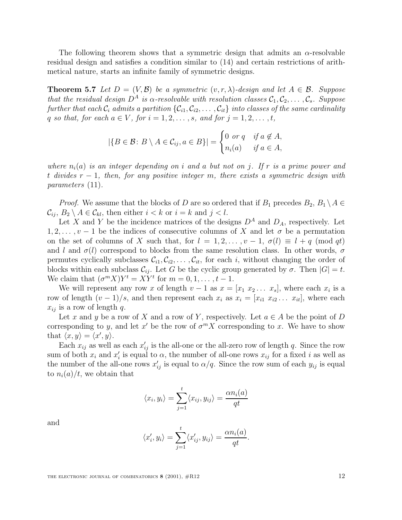The following theorem shows that a symmetric design that admits an  $\alpha$ -resolvable residual design and satisfies a condition similar to (14) and certain restrictions of arithmetical nature, starts an infinite family of symmetric designs.

**Theorem 5.7** Let  $D = (V, \mathcal{B})$  be a symmetric  $(v, r, \lambda)$ -design and let  $A \in \mathcal{B}$ . Suppose that the residual design  $D^A$  is  $\alpha$ -resolvable with resolution classes  $C_1, C_2, \ldots, C_s$ . Suppose further that each  $C_i$  admits a partition  $\{C_{i1}, C_{i2}, \ldots, C_{it}\}$  into classes of the same cardinality q so that, for each  $a \in V$ , for  $i = 1, 2, \ldots, s$ , and for  $j = 1, 2, \ldots, t$ ,

$$
|\{B \in \mathcal{B} : B \setminus A \in \mathcal{C}_{ij}, a \in B\}| = \begin{cases} 0 \text{ or } q & \text{if } a \notin A, \\ n_i(a) & \text{if } a \in A, \end{cases}
$$

where  $n_i(a)$  is an integer depending on i and a but not on j. If r is a prime power and t divides  $r - 1$ , then, for any positive integer m, there exists a symmetric design with parameters (11).

*Proof.* We assume that the blocks of D are so ordered that if  $B_1$  precedes  $B_2, B_1 \setminus A \in$  $\mathcal{C}_{ij}$ ,  $B_2 \setminus A \in \mathcal{C}_{kl}$ , then either  $i < k$  or  $i = k$  and  $j < l$ .

Let X and Y be the incidence matrices of the designs  $D^A$  and  $D_A$ , respectively. Let  $1, 2, \ldots, \nu - 1$  be the indices of consecutive columns of X and let  $\sigma$  be a permutation on the set of columns of X such that, for  $l = 1, 2, \ldots, v - 1, \sigma(l) \equiv l + q \pmod{qt}$ and l and  $\sigma(l)$  correspond to blocks from the same resolution class. In other words,  $\sigma$ permutes cyclically subclasses  $\mathcal{C}_{i1}, \mathcal{C}_{i2}, \ldots, \mathcal{C}_{it}$ , for each i, without changing the order of blocks within each subclass  $C_{ij}$ . Let G be the cyclic group generated by  $\sigma$ . Then  $|G| = t$ . We claim that  $(\sigma^m X)Y^t = XY^t$  for  $m = 0, 1, \ldots, t - 1$ .

We will represent any row x of length  $v-1$  as  $x = [x_1 \ x_2 \dots \ x_s]$ , where each  $x_i$  is a row of length  $(v-1)/s$ , and then represent each  $x_i$  as  $x_i = [x_{i1} \ x_{i2} \dots \ x_{it}],$  where each  $x_{ij}$  is a row of length q.

Let x and y be a row of X and a row of Y, respectively. Let  $a \in A$  be the point of D corresponding to y, and let x' be the row of  $\sigma^m X$  corresponding to x. We have to show that  $\langle x, y \rangle = \langle x', y \rangle$ .

Each  $x_{ij}$  as well as each  $x'_{ij}$  is the all-one or the all-zero row of length q. Since the row sum of both  $x_i$  and  $x'_i$  is equal to  $\alpha$ , the number of all-one rows  $x_{ij}$  for a fixed i as well as the number of the all-one rows  $x_{ij}'$  is equal to  $\alpha/q$ . Since the row sum of each  $y_{ij}$  is equal to  $n_i(a)/t$ , we obtain that

$$
\langle x_i, y_i \rangle = \sum_{j=1}^t \langle x_{ij}, y_{ij} \rangle = \frac{\alpha n_i(a)}{qt}
$$

and

$$
\langle x'_i, y_i \rangle = \sum_{j=1}^t \langle x'_{ij}, y_{ij} \rangle = \frac{\alpha n_i(a)}{qt}.
$$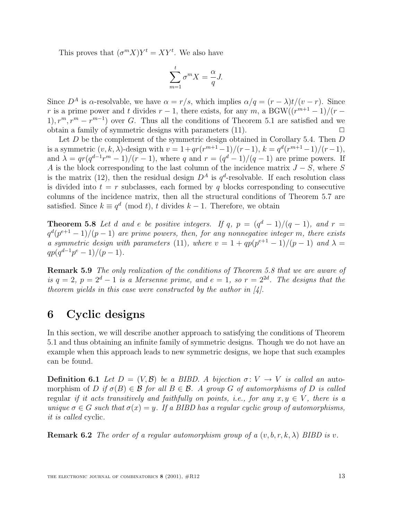This proves that  $(\sigma^m X)Y^t = XY^t$ . We also have

$$
\sum_{m=1}^{t} \sigma^m X = \frac{\alpha}{q} J.
$$

Since  $D^A$  is  $\alpha$ -resolvable, we have  $\alpha = r/s$ , which implies  $\alpha/q = (r - \lambda)t/(v - r)$ . Since r is a prime power and t divides  $r-1$ , there exists, for any m, a BGW $((r^{m+1}-1)/(r-1))$ 1),  $r^m$ ,  $r^m - r^{m-1}$  over G. Thus all the conditions of Theorem 5.1 are satisfied and we obtain a family of symmetric designs with parameters  $(11)$ .

Let  $D$  be the complement of the symmetric design obtained in Corollary 5.4. Then  $D$ is a symmetric  $(v, k, \lambda)$ -design with  $v = 1 + qr(r^{m+1}-1)/(r-1), k = q^d(r^{m+1}-1)/(r-1),$ and  $\lambda = qr(q^{d-1}r^m - 1)/(r - 1)$ , where q and  $r = (q^d - 1)/(q - 1)$  are prime powers. If A is the block corresponding to the last column of the incidence matrix  $J - S$ , where S is the matrix (12), then the residual design  $D^A$  is  $q^d$ -resolvable. If each resolution class is divided into  $t = r$  subclasses, each formed by q blocks corresponding to consecutive columns of the incidence matrix, then all the structural conditions of Theorem 5.7 are satisfied. Since  $k \equiv q^d \pmod{t}$ , t divides  $k-1$ . Therefore, we obtain

**Theorem 5.8** Let d and e be positive integers. If q,  $p = (q^d - 1)/(q - 1)$ , and  $r =$  $q^d(p^{e+1}-1)/(p-1)$  are prime powers, then, for any nonnegative integer m, there exists a symmetric design with parameters (11), where  $v = 1 + qp(p^{e+1} - 1)/(p - 1)$  and  $\lambda =$  $qp(q^{d-1}p^e-1)/(p-1).$ 

**Remark 5.9** The only realization of the conditions of Theorem 5.8 that we are aware of is  $q = 2$ ,  $p = 2<sup>d</sup> - 1$  is a Mersenne prime, and  $e = 1$ , so  $r = 2<sup>2d</sup>$ . The designs that the theorem yields in this case were constructed by the author in  $[4]$ .

# **6 Cyclic designs**

In this section, we will describe another approach to satisfying the conditions of Theorem 5.1 and thus obtaining an infinite family of symmetric designs. Though we do not have an example when this approach leads to new symmetric designs, we hope that such examples can be found.

**Definition 6.1** Let  $D = (V, \mathcal{B})$  be a BIBD. A bijection  $\sigma: V \to V$  is called an automorphism of D if  $\sigma(B) \in \mathcal{B}$  for all  $B \in \mathcal{B}$ . A group G of automorphisms of D is called regular if it acts transitively and faithfully on points, i.e., for any  $x, y \in V$ , there is a unique  $\sigma \in G$  such that  $\sigma(x) = y$ . If a BIBD has a regular cyclic group of automorphisms, it is called cyclic.

**Remark 6.2** The order of a regular automorphism group of a  $(v, b, r, k, \lambda)$  BIBD is v.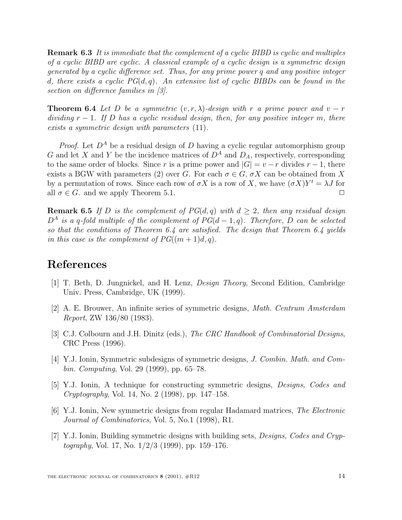**Remark 6.3** It is immediate that the complement of a cyclic BIBD is cyclic and multiples of a cyclic BIBD are cyclic. A classical example of a cyclic design is a symmetric design generated by a cyclic difference set. Thus, for any prime power q and any positive integer d, there exists a cyclic  $PG(d, q)$ . An extensive list of cyclic BIBDs can be found in the section on difference families in [3].

**Theorem 6.4** Let D be a symmetric  $(v, r, \lambda)$ -design with r a prime power and  $v - r$ dividing  $r - 1$ . If D has a cyclic residual design, then, for any positive integer m, there exists a symmetric design with parameters (11).

*Proof.* Let  $D^A$  be a residual design of D having a cyclic regular automorphism group G and let X and Y be the incidence matrices of  $D^A$  and  $D_A$ , respectively, corresponding to the same order of blocks. Since r is a prime power and  $|G| = v - r$  divides  $r - 1$ , there exists a BGW with parameters (2) over G. For each  $\sigma \in G$ ,  $\sigma X$  can be obtained from X by a permutation of rows. Since each row of  $\sigma X$  is a row of X, we have  $(\sigma X)Y^t = \lambda J$  for all  $\sigma \in G$ , and we apply Theorem 5.1.

**Remark 6.5** If D is the complement of  $PG(d, q)$  with  $d \geq 2$ , then any residual design  $D^A$  is a q-fold multiple of the complement of  $PG(d-1, q)$ . Therefore, D can be selected so that the conditions of Theorem 6.4 are satisfied. The design that Theorem 6.4 yields in this case is the complement of  $PG((m+1)d, q)$ .

## **References**

- [1] T. Beth, D. Jungnickel, and H. Lenz, Design Theory, Second Edition, Cambridge Univ. Press, Cambridge, UK (1999).
- [2] A. E. Brouwer, An infinite series of symmetric designs, Math. Centrum Amsterdam Report, ZW 136/80 (1983).
- [3] C.J. Colbourn and J.H. Dinitz (eds.), The CRC Handbook of Combinatorial Designs, CRC Press (1996).
- [4] Y.J. Ionin, Symmetric subdesigns of symmetric designs, J. Combin. Math. and Combin. Computing, Vol. 29 (1999), pp. 65–78.
- [5] Y.J. Ionin, A technique for constructing symmetric designs, Designs, Codes and Cryptography, Vol. 14, No. 2 (1998), pp. 147–158.
- [6] Y.J. Ionin, New symmetric designs from regular Hadamard matrices, The Electronic Journal of Combinatorics, Vol. 5, No.1 (1998), R1.
- [7] Y.J. Ionin, Building symmetric designs with building sets, Designs, Codes and Cryp*tography*, Vol. 17, No.  $1/2/3$  (1999), pp. 159–176.